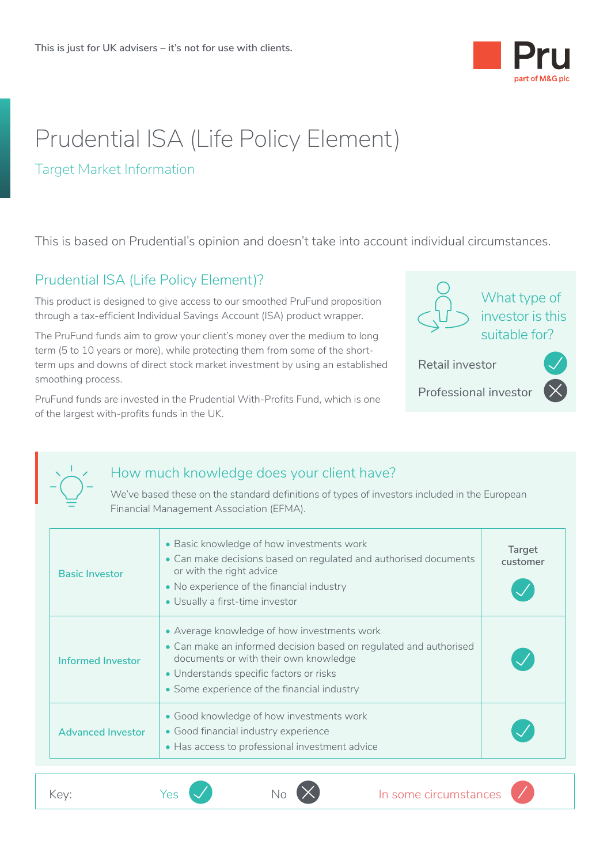

# Prudential ISA (Life Policy Element)

#### Target Market Information

This is based on Prudential's opinion and doesn't take into account individual circumstances.

#### Prudential ISA (Life Policy Element)?

This product is designed to give access to our smoothed PruFund proposition through a tax-efficient Individual Savings Account (ISA) product wrapper.

The PruFund funds aim to grow your client's money over the medium to long term (5 to 10 years or more), while protecting them from some of the shortterm ups and downs of direct stock market investment by using an established smoothing process.

PruFund funds are invested in the Prudential With-Profits Fund, which is one of the largest with-profits funds in the UK.



Retail investor

Professional investor



<u>• III i se od svoji se od svoji se od svoji se od svoji se od svoji se od svoji se od svoji se od svoji se od s</u><br>Izvoji se od svoji se od svoji se od svoji se od svoji se od svoji se od svoji se od svoji se od svoji se od



## How much knowledge does your client have?

We've based these on the standard definitions of types of investors included in the European Financial Management Association (EFMA).

| <b>Basic Investor</b>    | • Basic knowledge of how investments work<br>• Can make decisions based on regulated and authorised documents<br>or with the right advice<br>• No experience of the financial industry<br>• Usually a first-time investor                           | Target<br>customer |
|--------------------------|-----------------------------------------------------------------------------------------------------------------------------------------------------------------------------------------------------------------------------------------------------|--------------------|
| Informed Investor        | • Average knowledge of how investments work<br>• Can make an informed decision based on regulated and authorised<br>documents or with their own knowledge<br>• Understands specific factors or risks<br>• Some experience of the financial industry |                    |
| <b>Advanced Investor</b> | • Good knowledge of how investments work<br>• Good financial industry experience<br>• Has access to professional investment advice                                                                                                                  |                    |
| Key:                     | In some circumstances<br>Yes                                                                                                                                                                                                                        |                    |
|                          |                                                                                                                                                                                                                                                     |                    |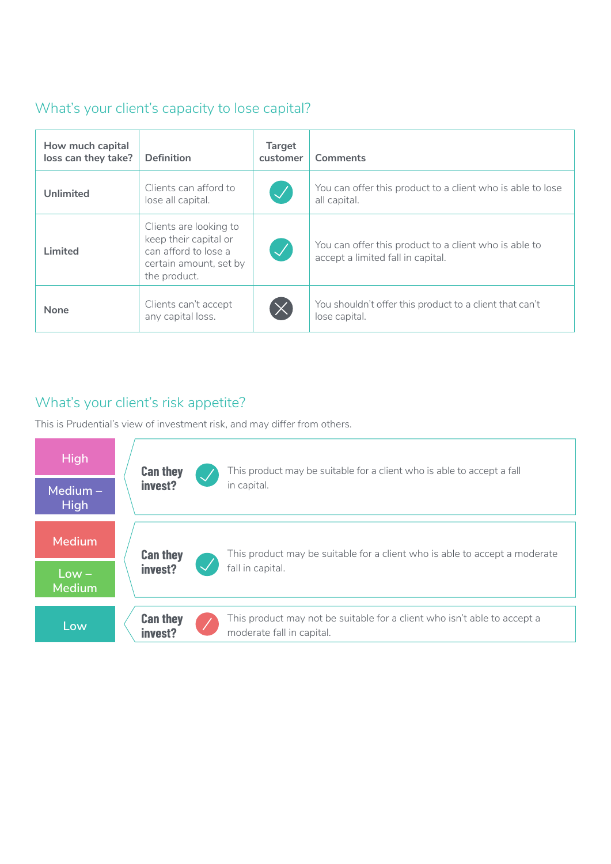## What's your client's capacity to lose capital?

| How much capital<br>loss can they take? | <b>Definition</b>                                                                                                 | <b>Target</b><br>customer  | Comments                                                                                   |
|-----------------------------------------|-------------------------------------------------------------------------------------------------------------------|----------------------------|--------------------------------------------------------------------------------------------|
| <b>Unlimited</b>                        | Clients can afford to<br>lose all capital.                                                                        | $\bigvee$                  | You can offer this product to a client who is able to lose<br>all capital.                 |
| Limited                                 | Clients are looking to<br>keep their capital or<br>can afford to lose a<br>certain amount, set by<br>the product. | $\boldsymbol{\mathcal{L}}$ | You can offer this product to a client who is able to<br>accept a limited fall in capital. |
| <b>None</b>                             | Clients can't accept<br>any capital loss.                                                                         | $\times$                   | You shouldn't offer this product to a client that can't<br>lose capital.                   |
|                                         |                                                                                                                   |                            |                                                                                            |

## What's your client's risk appetite?

This is Prudential's view of investment risk, and may differ from others.

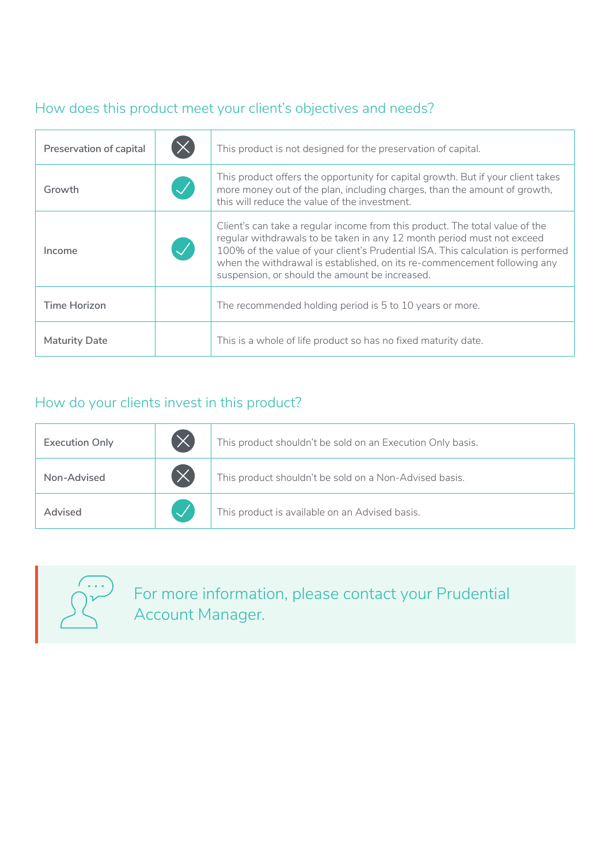# How does this product meet your client's objectives and needs?

| Preservation of capital | This product is not designed for the preservation of capital.                                                                                                                                                                                                                                                                                                            |
|-------------------------|--------------------------------------------------------------------------------------------------------------------------------------------------------------------------------------------------------------------------------------------------------------------------------------------------------------------------------------------------------------------------|
| Growth                  | This product offers the opportunity for capital growth. But if your client takes<br>more money out of the plan, including charges, than the amount of growth,<br>this will reduce the value of the investment.                                                                                                                                                           |
| Income                  | Client's can take a regular income from this product. The total value of the<br>regular withdrawals to be taken in any 12 month period must not exceed<br>100% of the value of your client's Prudential ISA. This calculation is performed<br>when the withdrawal is established, on its re-commencement following any<br>suspension, or should the amount be increased. |
| Time Horizon            | The recommended holding period is 5 to 10 years or more.                                                                                                                                                                                                                                                                                                                 |
| <b>Maturity Date</b>    | This is a whole of life product so has no fixed maturity date.                                                                                                                                                                                                                                                                                                           |

# How do your clients invest in this product?

| <b>Execution Only</b> | $(\times$ | This product shouldn't be sold on an Execution Only basis. |
|-----------------------|-----------|------------------------------------------------------------|
| Non-Advised           | $(\times$ | This product shouldn't be sold on a Non-Advised basis.     |
| Advised               |           | This product is available on an Advised basis.             |
|                       |           |                                                            |



For more information, please contact your Prudential Account Manager.